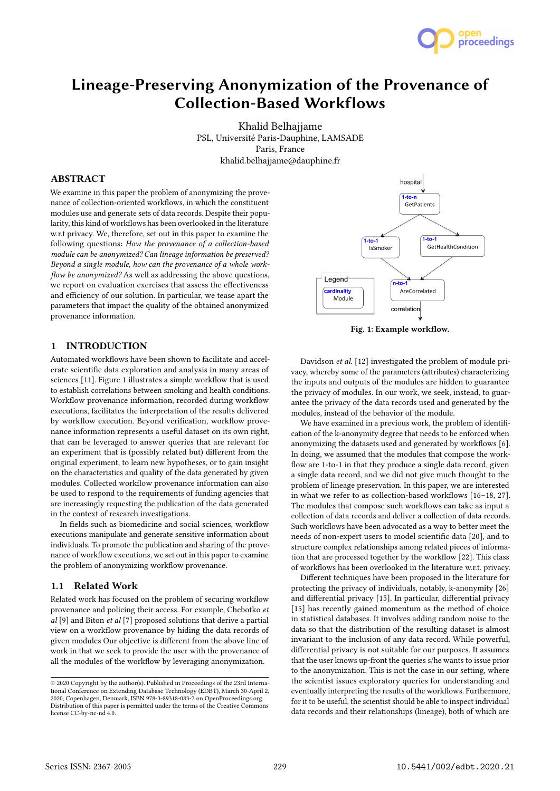

# Lineage-Preserving Anonymization of the Provenance of Collection-Based Workflows

Khalid Belhajjame PSL, Université Paris-Dauphine, LAMSADE Paris, France khalid.belhajjame@dauphine.fr

# ABSTRACT

We examine in this paper the problem of anonymizing the provenance of collection-oriented workflows, in which the constituent modules use and generate sets of data records. Despite their popularity, this kind of workflows has been overlooked in the literature w.r.t privacy. We, therefore, set out in this paper to examine the following questions: How the provenance of a collection-based module can be anonymized? Can lineage information be preserved? Beyond a single module, how can the provenance of a whole workflow be anonymized? As well as addressing the above questions, we report on evaluation exercises that assess the effectiveness and efficiency of our solution. In particular, we tease apart the parameters that impact the quality of the obtained anonymized provenance information.

## 1 INTRODUCTION

Automated workflows have been shown to facilitate and accelerate scientific data exploration and analysis in many areas of sciences [11]. Figure 1 illustrates a simple workflow that is used to establish correlations between smoking and health conditions. Workflow provenance information, recorded during workflow executions, facilitates the interpretation of the results delivered by workflow execution. Beyond verification, workflow provenance information represents a useful dataset on its own right, that can be leveraged to answer queries that are relevant for an experiment that is (possibly related but) different from the original experiment, to learn new hypotheses, or to gain insight on the characteristics and quality of the data generated by given modules. Collected workflow provenance information can also be used to respond to the requirements of funding agencies that are increasingly requesting the publication of the data generated in the context of research investigations.

In fields such as biomedicine and social sciences, workflow executions manipulate and generate sensitive information about individuals. To promote the publication and sharing of the provenance of workflow executions, we set out in this paper to examine the problem of anonymizing workflow provenance.

#### 1.1 Related Work

Related work has focused on the problem of securing workflow provenance and policing their access. For example, Chebotko et al [9] and Biton et al [7] proposed solutions that derive a partial view on a workflow provenance by hiding the data records of given modules Our objective is different from the above line of work in that we seek to provide the user with the provenance of all the modules of the workflow by leveraging anonymization.



Fig. 1: Example workflow.

Davidson et al. [12] investigated the problem of module privacy, whereby some of the parameters (attributes) characterizing the inputs and outputs of the modules are hidden to guarantee the privacy of modules. In our work, we seek, instead, to guarantee the privacy of the data records used and generated by the modules, instead of the behavior of the module.

We have examined in a previous work, the problem of identification of the k-anonymity degree that needs to be enforced when anonymizing the datasets used and generated by workflows [6]. In doing, we assumed that the modules that compose the workflow are 1-to-1 in that they produce a single data record, given a single data record, and we did not give much thought to the problem of lineage preservation. In this paper, we are interested in what we refer to as collection-based workflows [16–18, 27]. The modules that compose such workflows can take as input a collection of data records and deliver a collection of data records. Such workflows have been advocated as a way to better meet the needs of non-expert users to model scientific data [20], and to structure complex relationships among related pieces of information that are processed together by the workflow [22]. This class of workflows has been overlooked in the literature w.r.t. privacy.

Different techniques have been proposed in the literature for protecting the privacy of individuals, notably, k-anonymity [26] and differential privacy [15]. In particular, differential privacy [15] has recently gained momentum as the method of choice in statistical databases. It involves adding random noise to the data so that the distribution of the resulting dataset is almost invariant to the inclusion of any data record. While powerful, differential privacy is not suitable for our purposes. It assumes that the user knows up-front the queries s/he wants to issue prior to the anonymization. This is not the case in our setting, where the scientist issues exploratory queries for understanding and eventually interpreting the results of the workflows. Furthermore, for it to be useful, the scientist should be able to inspect individual data records and their relationships (lineage), both of which are

<sup>©</sup> 2020 Copyright by the author(s). Published in Proceedings of the 23rd International Conference on Extending Database Technology (EDBT), March 30-April 2, 2020, Copenhagen, Denmark, ISBN 978-3-89318-083-7 on OpenProceedings.org. Distribution of this paper is permitted under the terms of the Creative Commons license CC-by-nc-nd 4.0.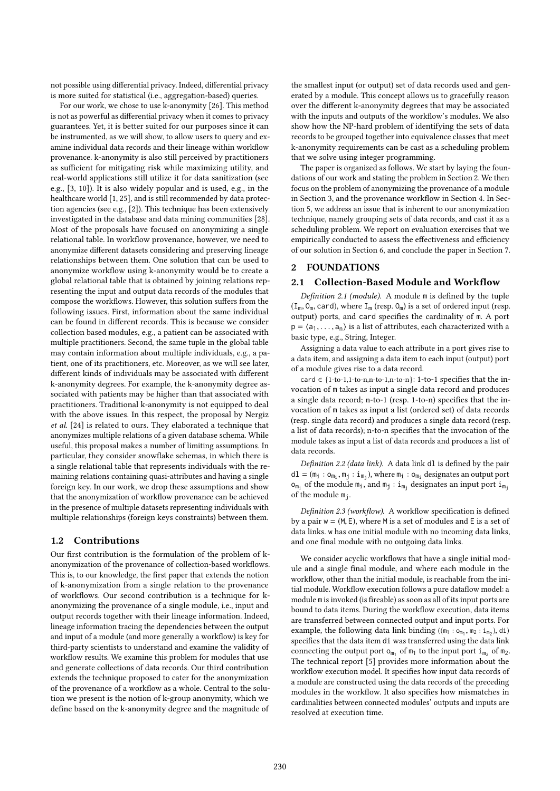not possible using differential privacy. Indeed, differential privacy is more suited for statistical (i.e., aggregation-based) queries.

For our work, we chose to use k-anonymity [26]. This method is not as powerful as differential privacy when it comes to privacy guarantees. Yet, it is better suited for our purposes since it can be instrumented, as we will show, to allow users to query and examine individual data records and their lineage within workflow provenance. k-anonymity is also still perceived by practitioners as sufficient for mitigating risk while maximizing utility, and real-world applications still utilize it for data sanitization (see e.g., [3, 10]). It is also widely popular and is used, e.g., in the healthcare world [1, 25], and is still recommended by data protection agencies (see e.g., [2]). This technique has been extensively investigated in the database and data mining communities [28]. Most of the proposals have focused on anonymizing a single relational table. In workflow provenance, however, we need to anonymize different datasets considering and preserving lineage relationships between them. One solution that can be used to anonymize workflow using k-anonymity would be to create a global relational table that is obtained by joining relations representing the input and output data records of the modules that compose the workflows. However, this solution suffers from the following issues. First, information about the same individual can be found in different records. This is because we consider collection based modules, e.g., a patient can be associated with multiple practitioners. Second, the same tuple in the global table may contain information about multiple individuals, e.g., a patient, one of its practitioners, etc. Moreover, as we will see later, different kinds of individuals may be associated with different k-anonymity degrees. For example, the k-anonymity degree associated with patients may be higher than that associated with practitioners. Traditional k-anonymity is not equipped to deal with the above issues. In this respect, the proposal by Nergiz et al. [24] is related to ours. They elaborated a technique that anonymizes multiple relations of a given database schema. While useful, this proposal makes a number of limiting assumptions. In particular, they consider snowflake schemas, in which there is a single relational table that represents individuals with the remaining relations containing quasi-attributes and having a single foreign key. In our work, we drop these assumptions and show that the anonymization of workflow provenance can be achieved in the presence of multiple datasets representing individuals with multiple relationships (foreign keys constraints) between them.

# 1.2 Contributions

Our first contribution is the formulation of the problem of kanonymization of the provenance of collection-based workflows. This is, to our knowledge, the first paper that extends the notion of k-anonymization from a single relation to the provenance of workflows. Our second contribution is a technique for kanonymizing the provenance of a single module, i.e., input and output records together with their lineage information. Indeed, lineage information tracing the dependencies between the output and input of a module (and more generally a workflow) is key for third-party scientists to understand and examine the validity of workflow results. We examine this problem for modules that use and generate collections of data records. Our third contribution extends the technique proposed to cater for the anonymization of the provenance of a workflow as a whole. Central to the solution we present is the notion of k-group anonymity, which we define based on the k-anonymity degree and the magnitude of the smallest input (or output) set of data records used and generated by a module. This concept allows us to gracefully reason over the different k-anonymity degrees that may be associated with the inputs and outputs of the workflow's modules. We also show how the NP-hard problem of identifying the sets of data records to be grouped together into equivalence classes that meet k-anonymity requirements can be cast as a scheduling problem that we solve using integer programming.

The paper is organized as follows. We start by laying the foundations of our work and stating the problem in Section 2. We then focus on the problem of anonymizing the provenance of a module in Section 3, and the provenance workflow in Section 4. In Section 5, we address an issue that is inherent to our anonymization technique, namely grouping sets of data records, and cast it as a scheduling problem. We report on evaluation exercises that we empirically conducted to assess the effectiveness and efficiency of our solution in Section 6, and conclude the paper in Section 7.

## 2 FOUNDATIONS

# 2.1 Collection-Based Module and Workflow

Definition 2.1 (module). A module m is defined by the tuple  $(I_m, O_m, \text{card})$ , where  $I_m$  (resp.  $O_m$ ) is a set of ordered input (resp. output) ports, and card specifies the cardinality of m. A port  $p = \langle a_1, \ldots, a_n \rangle$  is a list of attributes, each characterized with a basic type, e.g., String, Integer.

Assigning a data value to each attribute in a port gives rise to a data item, and assigning a data item to each input (output) port of a module gives rise to a data record.

card  $\in$  {1-to-1,1-to-n,n-to-1,n-to-n}: 1-to-1 specifies that the invocation of m takes as input a single data record and produces a single data record; n-to-1 (resp. 1-to-n) specifies that the invocation of m takes as input a list (ordered set) of data records (resp. single data record) and produces a single data record (resp. a list of data records); n-to-n specifies that the invocation of the module takes as input a list of data records and produces a list of data records.

Definition 2.2 (data link). A data link dl is defined by the pair  $dI = (m_i : o_{m_i}, m_j : i_{m_j})$ , where  $m_i : o_{m_i}$  designates an output port  $o_{m_i}$  of the module  $m_i$ , and  $m_j : i_{m_j}$  designates an input port  $i_{m_j}$ of the module  $m_i$ .

Definition 2.3 (workflow). A workflow specification is defined by a pair  $w = (M, E)$ , where M is a set of modules and E is a set of data links. w has one initial module with no incoming data links, and one final module with no outgoing data links.

We consider acyclic workflows that have a single initial module and a single final module, and where each module in the workflow, other than the initial module, is reachable from the initial module. Workflow execution follows a pure dataflow model: a module m is invoked (is fireable) as soon as all of its input ports are bound to data items. During the workflow execution, data items are transferred between connected output and input ports. For example, the following data link binding  $((m_1 : o_{m_1}, m_2 : i_{m_2}), di)$ <br>examples that the data item di use transferred veing the data link specifies that the data item di was transferred using the data link connecting the output port  $o_{m_1}$  of  $m_1$  to the input port  $i_{m_2}$  of  $m_2$ . The technical report [5] provides more information about the workflow execution model. It specifies how input data records of a module are constructed using the data records of the preceding modules in the workflow. It also specifies how mismatches in cardinalities between connected modules' outputs and inputs are resolved at execution time.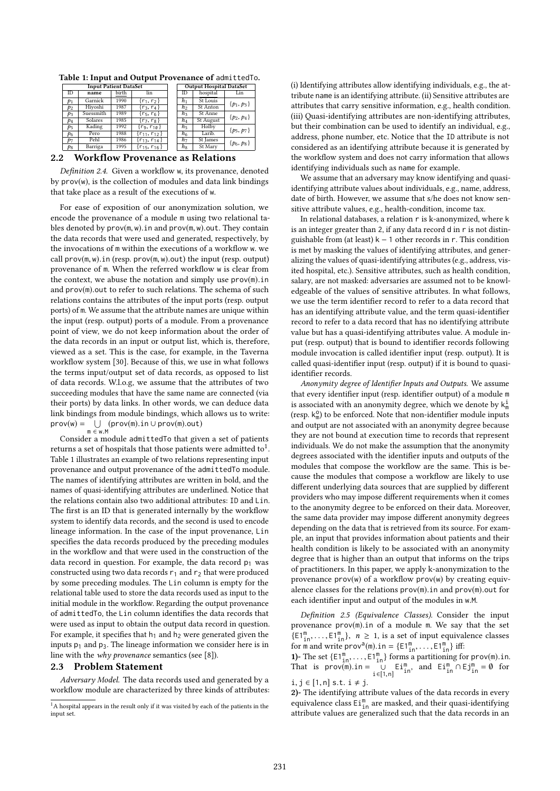|                | <b>Input Patient DataSet</b> |       |                      | <b>Output Hospital DataSet</b> |           |                |
|----------------|------------------------------|-------|----------------------|--------------------------------|-----------|----------------|
| ID             | name                         | birth | lin                  | ID                             | hospital  | Lin            |
| p1             | Garnick                      | 1990  | $\{r_1, r_2\}$       | h <sub>1</sub>                 | St Louis  | $\{p_1, p_3\}$ |
| $p_2$          | Hivoshi                      | 1987  | $\{r_3, r_4\}$       | h <sub>2</sub>                 | St Anton  |                |
| $p_3$          | Suessmith                    | 1989  | $\{r_5, r_6\}$       | $h_3$                          | St Anne   | $\{p_2, p_4\}$ |
| $p_4$          | Solares                      | 1985  | $\{r_7, r_8\}$       | $h_4$                          | St August |                |
| p <sub>5</sub> | Kading                       | 1992  | $\{r_9, r_{10}\}$    | $h_5$                          | Holby     | $\{p_5, p_7\}$ |
| P6             | Pero                         | 1988  | $\{r_{11}, r_{12}\}$ | h <sub>6</sub>                 | Larib.    |                |
| $p_7$          | Pehl                         | 1986  | $\{r_{13}, r_{14}\}$ | $h_7$                          | St James  | $\{p_6, p_8\}$ |
| $p_8$          | Barriga                      | 1995  | ${r_{15}, r_{16}}$   | $h_8$                          | St Mary   |                |
|                |                              |       |                      |                                |           |                |

Table 1: Input and Output Provenance of admittedTo.

# 2.2 Workflow Provenance as Relations

Definition 2.4. Given a workflow w, its provenance, denoted by prov(w), is the collection of modules and data link bindings that take place as a result of the executions of w.

For ease of exposition of our anonymization solution, we encode the provenance of a module m using two relational tables denoted by prov(m, <sup>w</sup>).in and prov(m, <sup>w</sup>).out. They contain the data records that were used and generated, respectively, by the invocations of m within the executions of a workflow w. we call  $\text{prov}(\mathfrak{m}, \mathfrak{w})$ . in (resp.  $\text{prov}(\mathfrak{m}, \mathfrak{w})$ . out) the input (resp. output) provenance of m. When the referred workflow w is clear from the context, we abuse the notation and simply use prov(m).in and prov(m).out to refer to such relations. The schema of such relations contains the attributes of the input ports (resp. output ports) of m. We assume that the attribute names are unique within the input (resp. output) ports of a module. From a provenance point of view, we do not keep information about the order of the data records in an input or output list, which is, therefore, viewed as a set. This is the case, for example, in the Taverna workflow system [30]. Because of this, we use in what follows the terms input/output set of data records, as opposed to list of data records. W.l.o.g, we assume that the attributes of two succeeding modules that have the same name are connected (via their ports) by data links. In other words, we can deduce data link bindings from module bindings, which allows us to write:  $\mathsf{prov}(\mathsf{w}) = \bigcup_{\mathsf{m} \in \mathsf{w}.\mathsf{M}} (\mathsf{prov}(\mathsf{m}).\mathsf{in} \cup \mathsf{prov}(\mathsf{m}).\mathsf{out})$ 

<sup>m</sup> <sup>∈</sup> <sup>w</sup>.<sup>M</sup> Consider a module admittedTo that given a set of patients returns a set of hospitals that those patients were admitted to<sup>1</sup>. Table 1 illustrates an example of two relations representing input provenance and output provenance of the admittedTo module. The names of identifying attributes are written in bold, and the names of quasi-identifying attributes are underlined. Notice that the relations contain also two additional attributes: ID and Lin. The first is an ID that is generated internally by the workflow system to identify data records, and the second is used to encode lineage information. In the case of the input provenance, Lin specifies the data records produced by the preceding modules in the workflow and that were used in the construction of the data record in question. For example, the data record  $p_1$  was constructed using two data records  $r_1$  and  $r_2$  that were produced by some preceding modules. The Lin column is empty for the relational table used to store the data records used as input to the initial module in the workflow. Regarding the output provenance of admittedTo, the Lin column identifies the data records that were used as input to obtain the output data record in question. For example, it specifies that  $h_1$  and  $h_2$  were generated given the inputs  $p_1$  and  $p_3$ . The lineage information we consider here is in line with the why provenance semantics (see [8]).

#### 2.3 Problem Statement

Adversary Model. The data records used and generated by a workflow module are characterized by three kinds of attributes: (i) Identifying attributes allow identifying individuals, e.g., the attribute name is an identifying attribute. (ii) Sensitive attributes are attributes that carry sensitive information, e.g., health condition. (iii) Quasi-identifying attributes are non-identifying attributes, but their combination can be used to identify an individual, e.g., address, phone number, etc. Notice that the ID attribute is not considered as an identifying attribute because it is generated by the workflow system and does not carry information that allows identifying individuals such as name for example.

We assume that an adversary may know identifying and quasiidentifying attribute values about individuals, e.g., name, address, date of birth. However, we assume that s/he does not know sensitive attribute values, e.g., health-condition, income tax.

In relational databases, a relation r is k-anonymized, where k is an integer greater than 2, if any data record d in r is not distinguishable from (at least)  $k - 1$  other records in r. This condition is met by masking the values of identifying attributes, and generalizing the values of quasi-identifying attributes (e.g., address, visited hospital, etc.). Sensitive attributes, such as health condition, salary, are not masked: adversaries are assumed not to be knowledgeable of the values of sensitive attributes. In what follows, we use the term identifier record to refer to a data record that has an identifying attribute value, and the term quasi-identifier record to refer to a data record that has no identifying attribute value but has a quasi-identifying attributes value. A module input (resp. output) that is bound to identifier records following module invocation is called identifier input (resp. output). It is called quasi-identifier input (resp. output) if it is bound to quasiidentifier records.

Anonymity degree of Identifier Inputs and Outputs. We assume that every identifier input (resp. identifier output) of a module m is associated with an anonymity degree, which we denote by  $k^{\rm i}_{\scriptscriptstyle \rm I\!f}$ (resp.  $k_m^0$ ) to be enforced. Note that non-identifier module inputs and output are not associated with an anonymity degree because they are not bound at execution time to records that represent individuals. We do not make the assumption that the anonymity degrees associated with the identifier inputs and outputs of the modules that compose the workflow are the same. This is because the modules that compose a workflow are likely to use different underlying data sources that are supplied by different providers who may impose different requirements when it comes to the anonymity degree to be enforced on their data. Moreover, the same data provider may impose different anonymity degrees depending on the data that is retrieved from its source. For example, an input that provides information about patients and their health condition is likely to be associated with an anonymity degree that is higher than an output that informs on the trips of practitioners. In this paper, we apply k-anonymization to the provenance prov(w) of a workflow prov(w) by creating equivalence classes for the relations prov(m).in and prov(m).out for each identifier input and output of the modules in <sup>w</sup>.M.

Definition 2.5 (Equivalence Classes). Consider the input provenance prov(m).in of a module <sup>m</sup>. We say that the set  $\{E1_m^m, \ldots, E1_m^m\}, n \ge 1$ , is a set of input equivalence classes<br>for m and write prov<sup>a(m)</sup> in  $-F1^m$   $E1^m$  iff. for m and write prov<sup>a</sup>(m).in =  $\{E1_m^m, \ldots, E1_m^m\}$  iff:<br>1) The set  $(E1_m^m, E1_m^m)$  forms a portitioning for

1)- The set  $\{E1_m^m, \ldots, E1_m^m\}$  forms a partitioning for prov(m).in.<br>That is prov(m) in  $E1_m^m$  and  $E1_m^m \cap E1_m^m = 0$  for That is prov(m).in =  $\bigcup_{i \in [1,n]}$ <br>i i c [1 n] s t i t i Ei<sup>m</sup><sub>in</sub>, and Ei<sup>m</sup><sub>in</sub> ∩ Ej<sup>m</sup><sub>in</sub> = 0 for  $i, j \in [1, n]$  s.t.  $i \neq j$ .

2)- The identifying attribute values of the data records in every equivalence class  $\mathsf{Ei}^\mathsf{m}_{\mathsf{in}}$  are masked, and their quasi-identifying attribute values are generalized such that the data records in an

<sup>&</sup>lt;sup>1</sup>A hospital appears in the result only if it was visited by each of the patients in the input set.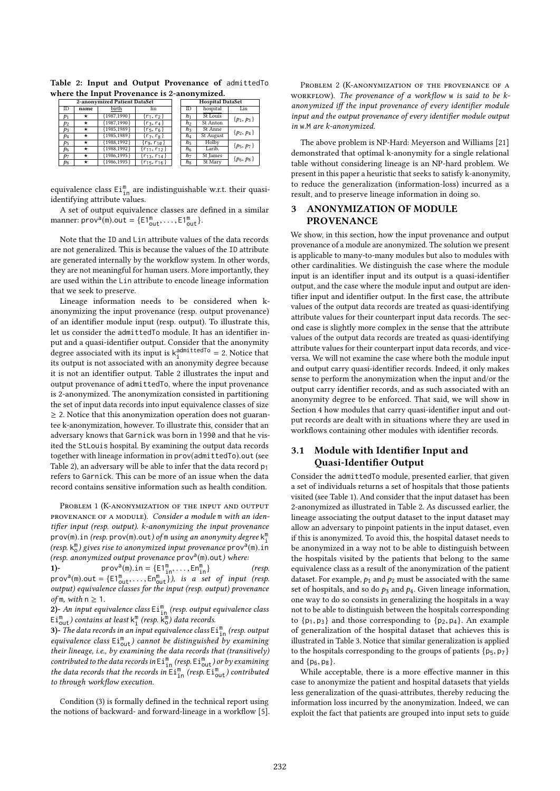| 2-anonymized Patient DataSet |      |                |                      |  |                | <b>Hospital DataSet</b> |                |
|------------------------------|------|----------------|----------------------|--|----------------|-------------------------|----------------|
| ID                           | name | birth          | lin                  |  | <b>ID</b>      | hospital                | Lin            |
| $p_1$                        | *    | ${1987,1990}$  | $\{r_1, r_2\}$       |  | h <sub>1</sub> | St Louis                | $\{p_1, p_3\}$ |
| p <sub>2</sub>               | *    | ${1987,1990}$  | $\{r_3, r_4\}$       |  | $h_2$          | St Anton                |                |
| $p_3$                        | *    | ${1985, 1989}$ | $\{r_5, r_6\}$       |  | $h_3$          | St Anne                 | $\{p_2, p_4\}$ |
| $p_4$                        | *    | ${1985,1989}$  | $\{r_7, r_8\}$       |  | $h_4$          | St August               |                |
| P5                           | *    | ${1988,1992}$  | $\{r_9, r_{10}\}\$   |  | $h_5$          | Holby                   | $\{p_5, p_7\}$ |
| p <sub>6</sub>               | *    | ${1988, 1992}$ | $\{r_{11}, r_{12}\}$ |  | h <sub>6</sub> | Larib.                  |                |
| $p_7$                        | *    | ${1986, 1995}$ | $\{r_{13}, r_{14}\}$ |  | h7             | St James                | $\{p_6, p_8\}$ |
| $p_8$                        | *    | ${1986, 1995}$ | $\{r_{15}, r_{16}\}$ |  | $h_8$          | St Mary                 |                |
|                              |      |                |                      |  |                |                         |                |

Table 2: Input and Output Provenance of admittedTo where the Input Provenance is 2-anonymized.

equivalence class  $\text{Ei}_{\text{in}}^{\text{m}}$  are indistinguishable w.r.t. their quasiidentifying attribute values.

A set of output equivalence classes are defined in a similar manner:  $\text{prov}^{\overline{a}}(m)$ .out =  $\{E1_{\text{out}}^m, \ldots, E1_{\text{out}}^m\}$ .

Note that the ID and Lin attribute values of the data records are not generalized. This is because the values of the ID attribute are generated internally by the workflow system. In other words, they are not meaningful for human users. More importantly, they are used within the Lin attribute to encode lineage information that we seek to preserve.

Lineage information needs to be considered when kanonymizing the input provenance (resp. output provenance) of an identifier module input (resp. output). To illustrate this, let us consider the admittedTo module. It has an identifier input and a quasi-identifier output. Consider that the anonymity degree associated with its input is  $k_1^{admittedTo} = 2$ . Notice that its output is not associated with an anonymity degree because it is not an identifier output. Table 2 illustrates the input and output provenance of admittedTo, where the input provenance is 2-anonymized. The anonymization consisted in partitioning the set of input data records into input equivalence classes of size  $\geq$  2. Notice that this anonymization operation does not guarantee k-anonymization, however. To illustrate this, consider that an adversary knows that Garnick was born in 1990 and that he visited the StLouis hospital. By examining the output data records together with lineage information in prov(admittedTo).out (see Table 2), an adversary will be able to infer that the data record  $p_1$ refers to Garnick. This can be more of an issue when the data record contains sensitive information such as health condition.

PROBLEM 1 (K-ANONYMIZATION OF THE INPUT AND OUTPUT provenance of a module). Consider a module m with an identifier input (resp. output). k-anonymizing the input provenance prov(m). in (resp. prov(m).out) of m using an anonymity degree  $k_1^m$ <br>(resp.  $k^m$ ) gives rise to anonymized input provenance prove<sup>9</sup>(m), in (resp.  $k_0^m$ ) gives rise to anonymized input provenance prov<sup>a</sup>(m).in<br>(resp. anonymized output provenance prov<sup>a</sup>(m) out) where: (resp. anonymized output provenance  $\text{prov}^{\text{a}}(\mathfrak{m})$ , out) where:<br>  $\text{Prove}^{\text{a}}(\mathfrak{m})$  in  $\text{I} \in \text{I}^{\text{c}}(\mathfrak{m})$  is  $\text{I} \in \text{I}^{\text{c}}(\mathfrak{m})$  is  $\text{I} \in \text{I}^{\text{c}}(\mathfrak{m})$  is  $\text{I} \in \text{I}^{\text{c}}(\mathfrak{m})$ 

1)- prov<sup>a</sup>(m).in = { $E1_{\text{in}}^{\text{m}}, \dots, En_{\text{in}}^{\text{m}}$ } (resp.<br>prov<sup>a</sup>(m).out = { $E1_{\text{out}}^{\text{m}}, \dots, En_{\text{out}}^{\text{m}}$ }), is a set of input (resp.<br>output) equivalence classes for the input (resp. output) provenance output) equivalence classes for the input (resp. output) provenance of m, with  $n \geq 1$ .

**2)**- An input equivalence class  $\text{Ei}_{\text{in}}^{\text{m}}$  (resp. output equivalence class  $\text{Ei}_{\text{out}}^{\text{m}}$ ) contains at least  $\text{k}_{\text{i}}^{\text{m}}$  (resp.  $\text{k}_{\text{o}}^{\text{m}}$ ) data records.

**3)** The data records in an input equivalence class  $Ei_{in}^{m}$  (resp. output equivalence class  $\text{Ei}_{\text{out}}^{\text{m}}$ ) cannot be distinguished by examining their lineage, i.e., by examining the data records that (transitively) contributed to the data records in  $\texttt{Ei}^\texttt{m}_{\texttt{in}}$  (resp.  $\texttt{Ei}^\texttt{m}_{\texttt{out}}$ ) or by examining the data records that the records in  $\overline{\text{Ei}}_{\text{in}}^{\text{m}}$  (resp.  $\overline{\text{Ei}}_{\text{out}}^{\text{m}}$ ) contributed to through workflow execution.

Condition (3) is formally defined in the technical report using the notions of backward- and forward-lineage in a workflow [5].

PROBLEM 2 (K-ANONYMIZATION OF THE PROVENANCE OF A workflow). The provenance of a workflow w is said to be kanonymized iff the input provenance of every identifier module input and the output provenance of every identifier module output in <sup>w</sup>.<sup>M</sup> are k-anonymized.

The above problem is NP-Hard: Meyerson and Williams [21] demonstrated that optimal k-anonymity for a single relational table without considering lineage is an NP-hard problem. We present in this paper a heuristic that seeks to satisfy k-anonymity, to reduce the generalization (information-loss) incurred as a result, and to preserve lineage information in doing so.

# 3 ANONYMIZATION OF MODULE PROVENANCE

We show, in this section, how the input provenance and output provenance of a module are anonymized. The solution we present is applicable to many-to-many modules but also to modules with other cardinalities. We distinguish the case where the module input is an identifier input and its output is a quasi-identifier output, and the case where the module input and output are identifier input and identifier output. In the first case, the attribute values of the output data records are treated as quasi-identifying attribute values for their counterpart input data records. The second case is slightly more complex in the sense that the attribute values of the output data records are treated as quasi-identifying attribute values for their counterpart input data records, and viceversa. We will not examine the case where both the module input and output carry quasi-identifier records. Indeed, it only makes sense to perform the anonymization when the input and/or the output carry identifier records, and as such associated with an anonymity degree to be enforced. That said, we will show in Section 4 how modules that carry quasi-identifier input and output records are dealt with in situations where they are used in workflows containing other modules with identifier records.

# 3.1 Module with Identifier Input and Quasi-Identifier Output

Consider the admittedTo module, presented earlier, that given a set of individuals returns a set of hospitals that those patients visited (see Table 1). And consider that the input dataset has been 2-anonymized as illustrated in Table 2. As discussed earlier, the lineage associating the output dataset to the input dataset may allow an adversary to pinpoint patients in the input dataset, even if this is anonymized. To avoid this, the hospital dataset needs to be anonymized in a way not to be able to distinguish between the hospitals visited by the patients that belong to the same equivalence class as a result of the anonymization of the patient dataset. For example,  $p_1$  and  $p_2$  must be associated with the same set of hospitals, and so do  $p_3$  and  $p_4$ . Given lineage information, one way to do so consists in generalizing the hospitals in a way not to be able to distinguish between the hospitals corresponding to  $\{p_1, p_3\}$  and those corresponding to  $\{p_2, p_4\}$ . An example of generalization of the hospital dataset that achieves this is illustrated in Table 3. Notice that similar generalization is applied to the hospitals corresponding to the groups of patients  $\{p_5, p_7\}$ and  $\{p_6, p_8\}$ .

While acceptable, there is a more effective manner in this case to anonymize the patient and hospital datasets that yields less generalization of the quasi-attributes, thereby reducing the information loss incurred by the anonymization. Indeed, we can exploit the fact that patients are grouped into input sets to guide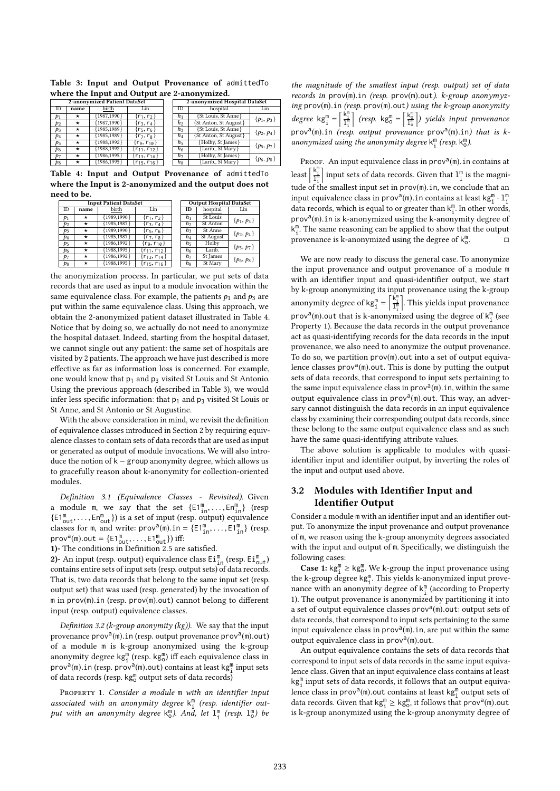Table 3: Input and Output Provenance of admittedTo where the Input and Output are 2-anonymized.

|                |            | 2-anonymized Patient DataSet |                           |                | 2-anonymized Hospital DataSet |                |
|----------------|------------|------------------------------|---------------------------|----------------|-------------------------------|----------------|
| <b>ID</b>      | name       | birth                        | Lin                       | ID             | hospital                      | Lin            |
| $p_1$          | *          | 1987,1990}                   | $\{r_1, r_2\}$            | h <sub>1</sub> | {St Louis, St Anne}           | $\{p_1, p_3\}$ |
| p <sub>2</sub> | $^{\star}$ | ${1987,1990}$                | $\{r_3, r_4\}$            | h2             | {St Anton, St August}         |                |
| $p_3$          | *          | ${1985, 1989}$               | $\{r_5, r_6\}$            | $h_3$          | {St Louis, St Anne}           | $\{p_2, p_4\}$ |
| p <sub>4</sub> | *          | ${1985,1989}$                | $\{r_7, r_8\}$            | $h_4$          | {St Anton, St August}         |                |
| p <sub>5</sub> | *          | ${1988, 1992}$               | $\{r_9, r_{1\emptyset}\}$ | $h_5$          | {Holby, St James}             | $\{p_5, p_7\}$ |
| p <sub>6</sub> | $^{\star}$ | 1988,1992}                   | $\{r_{11}, r_{12}\}$      | h <sub>6</sub> | {Larib., St Mary}             |                |
| $p_7$          | *          | ${1986, 1995}$               | $\{r_{13}, r_{14}\}$      | h7             | {Holby, St James}             | $\{p_6, p_8\}$ |
| $p_8$          | *          | ${1986, 1995}$               | $\{r_{15}, r_{16}\}$      | hg             | {Larib., St Mary}             |                |
|                |            |                              |                           |                |                               |                |

Table 4: Input and Output Provenance of admittedTo where the Input is 2-anonymized and the output does not need to be.

|       |      | <b>Input Patient DataSet</b> |                        |                | <b>Output Hospital DataSet</b> |                |
|-------|------|------------------------------|------------------------|----------------|--------------------------------|----------------|
| ID    | name | birth                        | Lin                    | ID             | hospital                       | Lin            |
| $p_1$ | *    | ${1989,1990}$                | $\{r_1, r_2\}$         | $h_1$          | St Louis                       | $\{p_1, p_3\}$ |
| $p_2$ | *    | ${1985, 1987}$               | $\{r_3, r_4\}$         | h <sub>2</sub> | St Anton                       |                |
| $p_3$ | *    | ${1989,1990}$                | $\{r_5, r_6\}$         | $h_3$          | St Anne                        | $\{p_2, p_4\}$ |
| P4    | *    | ${1985, 1987}$               | $\{r_7, r_8\}$         | $h_4$          | <b>St August</b>               |                |
| P5    | *    | ${1986.1992}$                | $\{r_9, r_{1\theta}\}$ | $h_5$          | Holby                          | $\{p_5, p_7\}$ |
| P6    | *    | ${1988, 1995}$               | $\{r_{11}, r_{12}\}$   | h <sub>6</sub> | Larib.                         |                |
| p7    | *    | ${1986, 1992}$               | $\{r_{13}, r_{14}\}$   | hт             | St James                       | $\{p_6, p_8\}$ |
| $p_8$ |      | ${1988, 1995}$               | ${r_{15}, r_{16}}$     | $h_8$          | St Mary                        |                |
|       |      |                              |                        |                |                                |                |

the anonymization process. In particular, we put sets of data records that are used as input to a module invocation within the same equivalence class. For example, the patients  $p_1$  and  $p_3$  are put within the same equivalence class. Using this approach, we obtain the 2-anonymized patient dataset illustrated in Table 4. Notice that by doing so, we actually do not need to anonymize the hospital dataset. Indeed, starting from the hospital dataset, we cannot single out any patient: the same set of hospitals are visited by 2 patients. The approach we have just described is more effective as far as information loss is concerned. For example, one would know that  $p_1$  and  $p_3$  visited St Louis and St Antonio. Using the previous approach (described in Table 3), we would infer less specific information: that  $p_1$  and  $p_3$  visited St Louis or St Anne, and St Antonio or St Augustine.

With the above consideration in mind, we revisit the definition of equivalence classes introduced in Section 2 by requiring equivalence classes to contain sets of data records that are used as input or generated as output of module invocations. We will also introduce the notion of  $k -$  group anonymity degree, which allows us to gracefully reason about k-anonymity for collection-oriented modules.

Definition 3.1 (Equivalence Classes - Revisited). Given a module m, we say that the set  $\{E1^m_1, \ldots, En^m_n\}$  (resp  $\{E1_{\text{out}}^m, \dots, En_{\text{out}}^m\}$ ) is a set of input (resp. output) equivalence<br>classes for m and write:  $n\text{cov}^d(m)$  in  $-5\text{E1}^m$   $E1^m$  ) (resp. classes for m, and write:  $\text{prov}^{\text{a}}(m)$ .in =  $\{E1^m_{in}, \ldots, E1^m_{in}\}$  (resp. prov<sup>a</sup>(m).out =  $\{E1_{\text{out}}^m, \ldots, E1_{\text{out}}^m\}$ ) iff:<br>1). The conditions in Definition 2.5 are

1)- The conditions in Definition <sup>2</sup>.<sup>5</sup> are satisfied.

2)- An input (resp. output) equivalence class  $\text{Ei}_{\text{in}}^{\text{m}}$  (resp.  $\text{Ei}_{\text{out}}^{\text{m}}$ ) contains entire sets of input sets (resp. output sets) of data records. That is, two data records that belong to the same input set (resp. output set) that was used (resp. generated) by the invocation of <sup>m</sup> in prov(m).in (resp. prov(m).out) cannot belong to different input (resp. output) equivalence classes.

Definition 3.2 ( $k$ -group anonymity ( $kg$ )). We say that the input provenance  $\text{prov}_a(m)$ .in (resp. output provenance  $\text{prov}_a(m)$ .out) of a module m is k-group anonymized using the k-group anonymity degree  $\text{kg}_{1}^{\text{m}}$  (resp.  $\text{kg}_{0}^{\text{m}}$ ) iff each equivalence class in prov<sup>a</sup>(m). in (resp. prov<sup>a</sup>(m). out) contains at least kg<sup>m</sup> input sets<br>of data records (resp.  $k\sigma^m$  output sets of data records) of data records (resp.  $\mathsf{kg}^\mathsf{m}_\mathsf{0}$  output sets of data records)

PROPERTY 1. Consider a module m with an identifier input associated with an anonymity degree  $k_i^m$  (resp. identifier output with an anonymity degree  $k_0^m$ ). And, let  $1_1^m$  (resp.  $1_0^m$ ) be

the magnitude of the smallest input (resp. output) set of data records in prov(m).in (resp. prov(m).out). k-group anonymyzing prov(m).in (resp. prov(m).out) using the k-group anonymity  $degree \text{ kg}_{i}^{\text{m}} = \frac{k_{i}^{\text{m}}}{l_{i}^{\text{m}}}$  $\left[ \text{resp.} \text{ kg}_{\text{o}}^{\text{m}} = \left[ \frac{\text{k}_{\text{o}}^{\text{m}}}{1 \text{m}} \right] \text{) yields input provenance} \right]$ prov<sup>a</sup>(m).in (resp. output provenance prov<sup>a</sup>(m).in) that is k-<br>anonymized using the anonymity degree  $k^m$  (resp.  $k^m$ ) anonymized using the anonymity degree  ${\sf k}_i^{\sf m}$  (resp.  ${\sf k}_0^{\sf m}$  ).

PROOF. An input equivalence class in prov<sup>a</sup>(m). in contains at  $\mathbb{R}^m$ . least  $\left[\frac{k_1^m}{1_1^m}\right]$  input sets of data records. Given that  $1_1^m$  is the magnitude of the smallest input set in prov(m). in, we conclude that an input equivalence class in prov<sup>9</sup>(m) in contains at least  $k\sigma^m$ .  $1^m$ input equivalence class in prov<sup>a</sup>(m). in contains at least kg<sup>m</sup>:  $1^{\pi}_{1}$ <br>data records which is equal to or greater than  $k^{\text{m}}$ . In other words data records, which is equal to or greater than  $k_1^m$ . In other words,  $\text{prox}^a(m)$ . in is k-anonymized using the k-anonymity degree of  $\text{km}^m$ . The same reasoning can be applied to show that the output  $k_{i}^{m}$  . The same reasoning can be applied to show that the output provenance is k-anonymized using the degree of  $k_{\text{c}}^{\text{m}}$ . □

We are now ready to discuss the general case. To anonymize the input provenance and output provenance of a module m with an identifier input and quasi-identifier output, we start by k-group anonymizing its input provenance using the k-group anonymity degree of  $\text{kg}_{i}^{\text{m}} = \left[\frac{\hat{k}_{i}^{\text{m}}}{\frac{1}{l_{i}}}\right]$ l. This vields input provenance prov<sup>a</sup>(m) out that is k-anonymized using the degree of  $k_1^m$  (see<br>Property 1). Because the data records in the output provenance Property 1). Because the data records in the output provenance act as quasi-identifying records for the data records in the input provenance, we also need to anonymize the output provenance. To do so, we partition prov(m).out into a set of output equivalence classes  $\frac{\text{prov}}{\text{env}}$  (m).out. This is done by putting the output sets of data records, that correspond to input sets pertaining to the same input equivalence class in prov<sup>a</sup>( $\overline{m}$ ), in, within the same<br>output equivalence class in prov<sup>a( $\overline{m}$ </sup>) out. This way, an adveroutput equivalence class in  $\text{prov}^a(m)$ .out. This way, an adver-<br>sary cannot distinguish the data records in an input equivalence sary cannot distinguish the data records in an input equivalence class by examining their corresponding output data records, since these belong to the same output equivalence class and as such have the same quasi-identifying attribute values.

The above solution is applicable to modules with quasiidentifier input and identifier output, by inverting the roles of the input and output used above.

# 3.2 Modules with Identifier Input and Identifier Output

Consider a module m with an identifier input and an identifier output. To anonymize the input provenance and output provenance of m, we reason using the k-group anonymity degrees associated with the input and output of m. Specifically, we distinguish the following cases:

**Case 1:**  $kg_1^m \geq kg_0^m$ . We k-group the input provenance using the k-group degree  $\text{kg}^{\text{m}}_1$ . This yields k-anonymized input provenance with an anonymity degree of  ${\sf k}_1^{\sf m}$  (according to Property 1). The output provenance is anonymized by partitioning it into a set of output equivalence classes  $\text{prox}^a(m)$ .out: output sets of data records that correspond to input sets pertaining to the same data records, that correspond to input sets pertaining to the same input equivalence class in prov<sup>a</sup>(m). in, are put within the same<br>output equivalence class in prov<sup>a</sup>(m) out output equivalence class in  $\text{prov}^{\mathfrak{a}}(\mathfrak{m})$ .out.

An output equivalence contains the sets of data records that correspond to input sets of data records in the same input equivalence class. Given that an input equivalence class contains at least  $\mathsf{kg}^\mathsf{m}_\mathbf{i}$  input sets of data records, it follows that an output equivalence class in prov<sup>a</sup>(m).out contains at least kg<sup>m</sup> output sets of<br>data records. Given that  $kg^m > kg^m$  it follows that prov<sup>a</sup>(m) out data records. Given that  $\mathsf{kg}_{\perp}^{\mathsf{m}} \geq \mathsf{kg}_{\infty}^{\mathsf{m}}$ , it follows that prov<sup>a</sup>(m) out<br>is k-group apopumized using the k-group apopumity degree of is k-group anonymized using the k-group anonymity degree of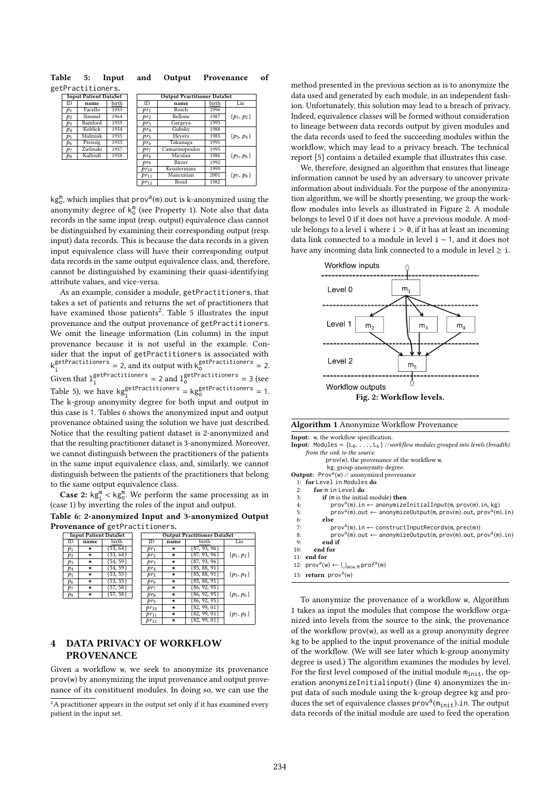Table 5: Input and Output Provenance of getPractitioners.

|       | <b>Input Patient DataSet</b> |       |                 | <b>Output Practitioner DataSet</b> |       |                |
|-------|------------------------------|-------|-----------------|------------------------------------|-------|----------------|
| ID    | name                         | birth | ID              | name                               | birth | Lin            |
| $p_1$ | Facello                      | 1953  | $pr_1$          | Rosch                              | 1996  |                |
| $p_2$ | Simmel                       | 1964  | pr <sub>2</sub> | Bellone                            | 1987  | $\{p_1, p_2\}$ |
| $p_3$ | Bamford                      | 1959  | $pr_3$          | Gargeya                            | 1993  |                |
| $p_4$ | Koblick                      | 1954  | $pr_4$          | Gubsky                             | 1988  |                |
| $p_5$ | Maliniak                     | 1955  | $pr_5$          | Heyers                             | 1985  | $\{p_3, p_4\}$ |
| $p_6$ | Preusig                      | 1953  | $pr_6$          | Tokunaga                           | 1991  |                |
| $p_7$ | Zielinski                    | 1957  | pr <sub>7</sub> | Camarinopoulos                     | 1995  |                |
| $p_8$ | Kalloufi                     | 1958  | pr <sub>8</sub> | Miculan                            | 1986  | $\{p_5, p_6\}$ |
|       |                              |       | pro             | Birrer                             | 1992  |                |
|       |                              |       | $pr_{10}$       | Keustermans                        | 1999  |                |
|       |                              |       | $pr_{11}$       | Mancunian                          | 2001  | $\{p_7, p_8\}$ |
|       |                              |       | $pr_{12}$       | Bond                               | 1982  |                |
|       |                              |       |                 |                                    |       |                |

kg<sup>m</sup>, which implies that prov<sup>a</sup>(m).out is k-anonymized using the approximate determined using the second with the second property 1). Note also that data anonymity degree of  $k_0^m$  (see Property 1). Note also that data records in the same input (resp. output) equivalence class cannot be distinguished by examining their corresponding output (resp. input) data records. This is because the data records in a given input equivalence class will have their corresponding output data records in the same output equivalence class, and, therefore, cannot be distinguished by examining their quasi-identifying attribute values, and vice-versa.

As an example, consider a module, getPractitioners, that takes a set of patients and returns the set of practitioners that have examined those patients<sup>2</sup>. Table 5 illustrates the input provenance and the output provenance of getPractitioners. We omit the lineage information (Lin column) in the input provenance because it is not useful in the example. Consider that the input of getPractitioners is associated with k<sup>getPractitioners</sup> getPractitioners = 2, and its output with  $k_0^{\text{getPractions}} = 2$ . Given that  $1_i^{\text{getPractitioners}} = 2$  and  $1_0^{\text{getPractitioners}} = 3$  (see Table 5), we have  $\text{kg}_{\text{S}}^{\text{getPr}}$  =  $\text{kg}_{\text{S}}^{\text{getPr}}$  =  $\text{kg}_{\text{S}}^{\text{getPr}}$  = 1. The k-group anonymity degree for both input and output in this case is 1. Tables 6 shows the anonymized input and output provenance obtained using the solution we have just described. Notice that the resulting patient dataset is 2-anonymized and that the resulting practitioner dataset is 3-anonymized. Moreover, we cannot distinguish between the practitioners of the patients in the same input equivalence class, and, similarly, we cannot distinguish between the patients of the practitioners that belong to the same output equivalence class.

**Case 2:**  $\text{kg}_{\text{i}}^{\text{m}} < \text{kg}_{\text{g}}^{\text{m}}$ . We perform the same processing as in (case 1) by inverting the roles of the input and output.

Table 6: 2-anonymized Input and 3-anonymized Output Provenance of getPractitioners.

|                |            | <b>Input Patient DataSet</b> |                 |            | <b>Output Practitioner DataSet</b> |                |
|----------------|------------|------------------------------|-----------------|------------|------------------------------------|----------------|
| ID             | name       | birth                        | ID              | name       | birth                              | Lin            |
| $p_1$          | *          | $\{53, 64\}$                 | $pr_1$          | *          | $\{87, 93, 96\}$                   |                |
| $p_2$          | *          | $\overline{53, 64}$          | pr <sub>2</sub> | $^{\star}$ | $\{87, 93, 96\}$                   | $\{p_1, p_2\}$ |
| $p_3$          | *          | 54, 59}                      | $pr_3$          | *          | ${87, 93, 96}$                     |                |
| p <sub>4</sub> | *          | 54, 59                       | $pr_4$          | $\star$    | $\{85, 88, 91\}$                   |                |
| p <sub>5</sub> | *          | 53, 55                       | pr5             | $\star$    | ${85, 88, 91}$                     | $\{p_3, p_4\}$ |
| p <sub>6</sub> | *          | 53, 55                       | $pr_6$          | $\star$    | ${85, 88, 91}$                     |                |
| $p_7$          | *          | $\{57, 58\}$                 | pr <sub>7</sub> | *          | ${86, 92, 95}$                     |                |
| $p_8$          | $^{\star}$ | [57, 58]                     | prg             | $^{\star}$ | ${86, 92, 95}$                     | $\{p_5, p_6\}$ |
|                |            |                              | $pr_9$          | *          | $\{86, 92, 95\}$                   |                |
|                |            |                              | $pr_{10}$       | *          | ${82, 99, 01}$                     |                |
|                |            |                              | $pr_{11}$       | *          | $\{82, 99, 01\}$                   | $\{p_7, p_8\}$ |
|                |            |                              | $pr_{12}$       | *          | $\{82, 99, 01\}$                   |                |
|                |            |                              |                 |            |                                    |                |

# 4 DATA PRIVACY OF WORKFLOW PROVENANCE

Given a workflow w, we seek to anonymize its provenance prov(w) by anonymizing the input provenance and output provenance of its constituent modules. In doing so, we can use the

 ${}^{2}$ A practitioner appears in the output set only if it has examined every patient in the input set.

method presented in the previous section as is to anonymize the data used and generated by each module, in an independent fashion. Unfortunately, this solution may lead to a breach of privacy. Indeed, equivalence classes will be formed without consideration to lineage between data records output by given modules and the data records used to feed the succeeding modules within the workflow, which may lead to a privacy breach. The technical report [5] contains a detailed example that illustrates this case.

We, therefore, designed an algorithm that ensures that lineage information cannot be used by an adversary to uncover private information about individuals. For the purpose of the anonymization algorithm, we will be shortly presenting, we group the workflow modules into levels as illustrated in Figure 2. A module belongs to level O if it does not have a previous module. A module belongs to a level i where  $i > 0$ , if it has at least an incoming data link connected to a module in level i − 1, and it does not have any incoming data link connected to a module in level  $\geq$  i.



| Algorithm 1 Anonymize Workflow Provenance |
|-------------------------------------------|
|-------------------------------------------|

Input: w, the workflow specification.

- **Input:** Modules =  $\{L_0, \ldots, L_k\}$  //workflow modules grouped into levels (breadth) from the sink to the source.
	- prov(w), the provenance of the workflow w.
- kg, group anonymity degree.
- Output:  $Prov^a(w)$  // anonymized provenance
- 1: for Level in Modules do<br>2: for m in Level do
- 2: for  $m$  in Level do<br>3. if  $(m$  is the initial
- if (m is the initial module) then
- 4:  $prov^a(m).in \leftarrow anomalymizeInitialInput(m, prov(m).in, kg)$ <br>5:  $prov^a(m) out \leftarrow anomalyeOutput(m, prov(m) out, prov^a(m))$
- 5: prov<sup>a</sup>(m).out ← anonymizeOutput(m, prov(m).out, prov<sup>a</sup>(m).in)<br>6: **else** 6:  $else$   $7:$   $9:$
- 7: prov<sup>a</sup>(m).in ← constructInputRecords(m, prec(m))<br>8: prov<sup>a</sup>(m) out ← anonymizeOutput(m\_prov(m) out\_p
- 8: prov<sup>a</sup>(m).out ← anonymizeOutput(m, prov(m).out, prov<sup>a</sup>(m).in)<br>9: **end if** 9: end if<br>10: end for
- end for
- 11: end for
- 12:  $\text{prov}^a(w) \leftarrow \bigcup_{m \in w.M} \text{prof}^a(m)$
- 13: return  $prov^a(w)$

To anonymize the provenance of a workflow w, Algorithm 1 takes as input the modules that compose the workflow organized into levels from the source to the sink, the provenance of the workflow prov(w), as well as a group anonymity degree kg to be applied to the input provenance of the initial module of the workflow. (We will see later which k-group anonymity degree is used.) The algorithm examines the modules by level. For the first level composed of the initial module  $m_{init}$ , the operation anonymizeInitialinput() (line 4) anonymizes the input data of such module using the k-group degree kg and produces the set of equivalence classes  $\text{prov}^a(\overline{\mathfrak{m}}_{\text{init}})$ .in. The output data records of the initial module are used to feed the operation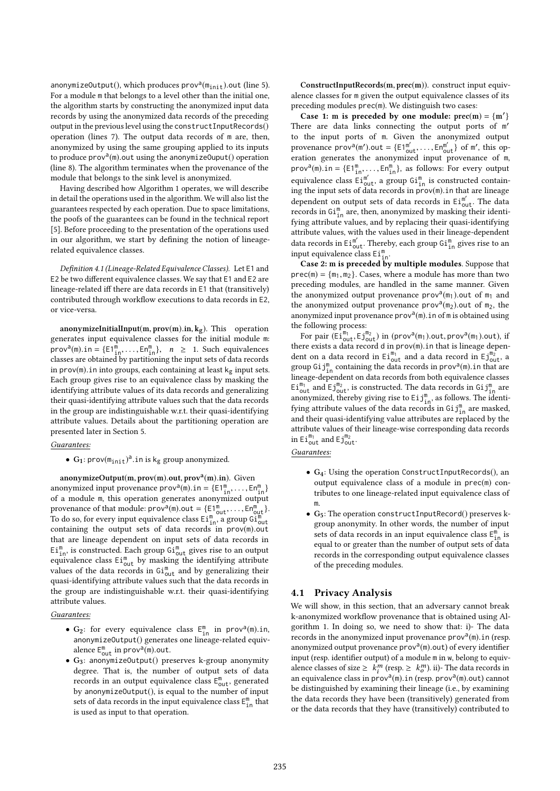anonymizeOutput(), which produces  $\text{prox}^{\mathfrak{d}}(\mathfrak{m}_{\text{init}})$ .out (line 5).<br>For a module m that belongs to a level other than the initial one For a module m that belongs to a level other than the initial one, the algorithm starts by constructing the anonymized input data records by using the anonymized data records of the preceding output in the previous level using the constructInputRecords() operation (lines 7). The output data records of m are, then, anonymized by using the same grouping applied to its inputs to produce  $\text{prov}^a(m)$  out using the anonymizeOuput() operation<br>(line 8). The algorithm terminates when the provenance of the (line 8). The algorithm terminates when the provenance of the module that belongs to the sink level is anonymized.

Having described how Algorithm 1 operates, we will describe in detail the operations used in the algorithm. We will also list the guarantees respected by each operation. Due to space limitations, the poofs of the guarantees can be found in the technical report [5]. Before proceeding to the presentation of the operations used in our algorithm, we start by defining the notion of lineagerelated equivalence classes.

Definition 4.1 (Lineage-Related Equivalence Classes). Let E1 and E2 be two different equivalence classes. We say that E1 and E2 are lineage-related iff there are data records in E1 that (transitively) contributed through workflow executions to data records in E2, or vice-versa.

anonymizeInitialInput(m, prov(m).in,  $k_g$ ). This operation generates input equivalence classes for the initial module m:  $\text{prov}^a(m) \text{ in } = \{E1^m_1, \ldots, En^m_m\}, \quad n \geq 1.$  Such equivalences classes are obtained by partitioning the input sets of data records in prov(m). in into groups, each containing at least  $k_g$  input sets. Each group gives rise to an equivalence class by masking the identifying attribute values of its data records and generalizing their quasi-identifying attribute values such that the data records in the group are indistinguishable w.r.t. their quasi-identifying attribute values. Details about the partitioning operation are presented later in Section 5.

#### Guarantees:

•  $G_1$ : prov $(m_{init})^a$ . in is  $k_g$  group anonymized.

anonymizeOutput(m, prov(m).out, prov<sup>a</sup>(m).in). Given<br>onymized input provenance prov<sup>a(m)</sup> in  $=$   $fE1^m$ anonymized input provenance  $\text{prov}^{\text{a}}(\overline{\mathfrak{m}})$ .in =  $\{E1_{\overline{\mathfrak{m}}}^{\mathfrak{m}}, \dots, En_{\overline{\mathfrak{m}}}^{\mathfrak{m}}\}$  of a module  $\overline{\mathfrak{m}}$  this operation generates approximated output of a module m, this operation generates anonymized output provenance of that module:  $\text{prov}^{\text{a}}(\mathfrak{m})$ .out =  $\{E1^{\mathfrak{m}}_{\text{out}}, \ldots, En^{\mathfrak{m}}_{\text{out}}\}$ .<br>To do so, for every input equivalence class  $E1^{\mathfrak{m}}$  a group  $G1^{\mathfrak{m}}$ . To do so, for every input equivalence class  $Ei_{in}^m$ , a group  $Gi_{out}^m$ containing the output sets of data records in prov(m).out that are lineage dependent on input sets of data records in  $\text{Ei}_{\text{in}}^{\text{m}}$ , is constructed. Each group  $\text{Gi}_{\text{out}}^{\text{m}}$  gives rise to an output equivalence class  $Ei_{\text{out}}^{\text{m}}$  by masking the identifying attribute values of the data records in  $Gi_{out}^m$  and by generalizing their quasi-identifying attribute values such that the data records in the group are indistinguishable w.r.t. their quasi-identifying attribute values.

#### Guarantees:

- $G_2$ : for every equivalence class  $E_{\text{in}}^m$  in prov<sup>a</sup>(m).in,<br>apopymiza0utput() generates one lineage-related equivanonymizeOutput() generates one lineage-related equivalence  $E_{\text{out}}^m$  in prov<sup>a</sup>(m).out.<br>Get apopymize0utput() pro
- G3: anonymizeOutput() preserves k-group anonymity degree. That is, the number of output sets of data records in an output equivalence class  $E_{\text{out}}^{\text{m}}$ , generated by anonymizeOutput(), is equal to the number of input sets of data records in the input equivalence class  $\mathsf{E}_{\text{in}}^{\text{m}}$  that is used as input to that operation.

ConstructInputRecords(m, prec(m)). construct input equivalence classes for m given the output equivalence classes of its preceding modules prec(m). We distinguish two cases:

Case 1: m is preceded by one module:  $prec(m) = \{m'\}$ There are data links connecting the output ports of m' to the input ports of m. Given the anonymized output provenance  $\text{prov}^{\mathfrak{d}}(m')$ .out = { $E1_{\text{out}}^{m'}$ , ...,  $E1_{\text{out}}^{m'}$ } of m', this operation generates the anonymized input provenance of m eration generates the anonymized input provenance of m,  $\text{prov}^a(m)$ .in = {E1<sup>m</sup><sub>1</sub>, ..., En<sup>m</sup><sub>1</sub>}, as follows: For every output equivalence class  $\overline{Ei}_{\text{out}}^{m'}$ , a group  $\overline{Gi}_{\text{in}}^{m}$  is constructed containing the input sets of data records in  $\text{prox}(m)$ . in that are lineage<br>dependent on output sets of data records in  $\text{Ei}^{m'}$ . The data dependent on output sets of data records in  $Ei_{out}^{m'}$ . The data records in  $Gi_{in}^m$  are, then, anonymized by masking their identifying attribute values, and by replacing their quasi-identifying attribute values, with the values used in their lineage-dependent data records in  $\text{Ei}_{\text{out}}^{\text{m}'}$ . Thereby, each group  $\text{Gi}_{\text{in}}^{\text{m}}$  gives rise to an input equivalence class  $Ei_{in}^{m}$ .

Case 2:  $m$  is preceded by multiple modules. Suppose that  $prec(m) = \{m_1, m_2\}$ . Cases, where a module has more than two preceding modules, are handled in the same manner. Given the anonymized output provenance  $\text{prox}_{m}^{\alpha}(m_1)$  out of  $m_1$  and the anonymized output provenance  $\text{prox}_{m_1}^{\alpha}(m_1)$  out of  $m_2$  the the anonymized output provenance  $\text{prox}^a(m_2)$  out of  $m_2$ , the anonymized input provenance  $\text{prov}^a(m)$ . in of m is obtained using<br>the following process: the following process:

For pair  $(\text{Ei}_{\text{out}}^{\text{m}_1}, \text{Ej}_{\text{out}}^{\text{m}_2})$  in (prov<sup>a</sup>( $\text{m}_1$ ).out, prov<sup>a</sup>( $\text{m}_1$ ).out), if there exists a data record <sup>d</sup> in prov(m).in that is lineage dependent on a data record in  $Ei_{out}^{m_1}$  and a data record in  $Ej_{out}^{m_2}$ , a group  $Gij_{10}^m$  containing the data records in prov<sup>a</sup> $(m)$ .in that are<br>lineage dangedent on data records from both equivalence classes lineage-dependent on data records from both equivalence classes  $\tilde{\text{Ei}}_{\text{out}}^{\text{m}_1}$  and  $\tilde{\text{Ej}}_{\text{out}}^{\text{m}_2}$ , is constructed. The data records in  $\tilde{\text{Gi}}_{\text{in}}^{\text{m}}$  are anonymized, thereby giving rise to  $\mathrm{Eij}^{\mathsf{m}}_{\text{in}}$ , as follows. The identifying attribute values of the data records in  $Gij^m_{in}$  are masked, and their quasi-identifying value attributes are replaced by the attribute values of their lineage-wise corresponding data records in  $\mathrm{Ei}_{\mathrm{out}}^{\mathsf{m}_1}$  and  $\mathrm{Ej}_{\mathrm{out}}^{\mathsf{m}_2}$ .

#### Guarantees:

- G4: Using the operation ConstructInputRecords(), an output equivalence class of a module in prec(m) contributes to one lineage-related input equivalence class of m.
- G5: The operation constructInputRecord() preserves kgroup anonymity. In other words, the number of input sets of data records in an input equivalence class  $\mathsf{E}_{\text{in}}^{\text{m}}$  is equal to or greater than the number of output sets of data records in the corresponding output equivalence classes of the preceding modules.

# 4.1 Privacy Analysis

We will show, in this section, that an adversary cannot break k-anonymized workflow provenance that is obtained using Algorithm 1. In doing so, we need to show that: i)- The data records in the anonymized input provenance  $\text{prov}^{\partial(m)}$ . in (resp. anonymized output provenance  $\text{prov}^a(m)$ .out) of every identifier<br>input (resp. identifier output) of a module  $m$  in  $w$  belong to equive input (resp. identifier output) of a module m in w, belong to equivalence classes of size  $\geq k_i^m$  (resp.  $\geq k_o^m$ ). ii)- The data records in an equivalence class in prov<sup>a</sup>(m).in (resp. prov<sup>a</sup>(m).out) cannot<br>be distinguished by examining their lineage (i.e., by examining be distinguished by examining their lineage (i.e., by examining the data records they have been (transitively) generated from or the data records that they have (transitively) contributed to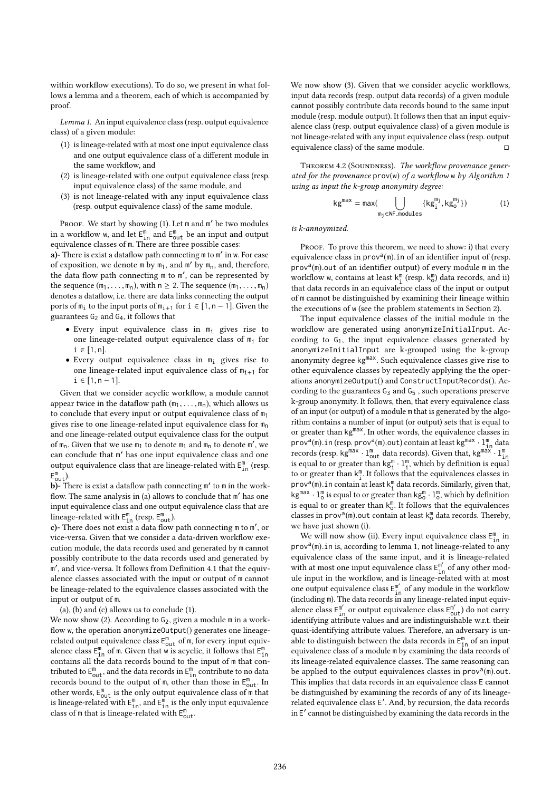within workflow executions). To do so, we present in what follows a lemma and a theorem, each of which is accompanied by proof.

Lemma 1. An input equivalence class (resp. output equivalence class) of a given module:

- (1) is lineage-related with at most one input equivalence class and one output equivalence class of a different module in the same workflow, and
- (2) is lineage-related with one output equivalence class (resp. input equivalence class) of the same module, and
- (3) is not lineage-related with any input equivalence class (resp. output equivalence class) of the same module.

PROOF. We start by showing (1). Let m and m' be two modules in a workflow w, and let  $E_{in}^{m}$  and  $E_{out}^{m}$  be an input and output equivalence classes of m. There are three possible cases:

a)- There is exist a dataflow path connecting m to m' in w. For ease of exposition, we denote  $m$  by  $m_1$ , and  $m'$  by  $m_n$ , and, therefore, the data flow path connecting m to m ′ , can be represented by the sequence  $(m_1, \ldots, m_n)$ , with  $n \ge 2$ . The sequence  $(m_1, \ldots, m_n)$ denotes a dataflow, i.e. there are data links connecting the output ports of  $m_i$  to the input ports of  $m_{i+1}$  for  $i \in [1, n-1]$ . Given the guarantees  $G_2$  and  $G_4$ , it follows that

- Every input equivalence class in  $m_i$  gives rise to one lineage-related output equivalence class of  $m<sub>i</sub>$  for  $i$  ∈ [1, n].
- Every output equivalence class in  $m_i$  gives rise to one lineage-related input equivalence class of  $m_{i+1}$  for  $i \in [1, n - 1].$

Given that we consider acyclic workflow, a module cannot appear twice in the dataflow path  $(m_1, \ldots, m_n)$ , which allows us to conclude that every input or output equivalence class of  $m_1$ gives rise to one lineage-related input equivalence class for  $m_n$ and one lineage-related output equivalence class for the output of  $m_n$ . Given that we use  $m_1$  to denote  $m_1$  and  $m_n$  to denote m', we can conclude that m ′ has one input equivalence class and one output equivalence class that are lineage-related with  $E_{\text{in}}^{\text{m}}$  (resp.  $E_{\text{out}}^{\text{m}}$ ).

b)- There is exist a dataflow path connecting m' to m in the workflow. The same analysis in (a) allows to conclude that m' has one input equivalence class and one output equivalence class that are lineage-related with  $E_{in}^{m}$  (resp.  $E_{out}^{m}$ ).

c)- There does not exist a data flow path connecting m to m ′ , or vice-versa. Given that we consider a data-driven workflow execution module, the data records used and generated by m cannot possibly contribute to the data records used and generated by m ′ , and vice-versa. It follows from Definition 4.1 that the equivalence classes associated with the input or output of m cannot be lineage-related to the equivalence classes associated with the input or output of m.

(a), (b) and (c) allows us to conclude (1).

We now show (2). According to G<sub>2</sub>, given a module m in a workflow w, the operation anonymizeOutput() generates one lineagerelated output equivalence class  $E_{out}^{m}$  of m, for every input equivalence class  $E_{in}^{m}$  of m. Given that w is acyclic, it follows that  $E_{in}^{m}$ contains all the data records bound to the input of m that contributed to  $E_{\text{out}}^{\text{m}}$ , and the data records in  $E_{\text{in}}^{\text{m}}$  contribute to no data records bound to the output of  $m$ , other than those in  $E_{\text{out}}^{m}$ . In other words,  $E_{\text{out}}^{\text{m}}$  is the only output equivalence class of  $\text{m}$  that is lineage-related with  $E_{in}^{m}$ , and  $E_{in}^{\hat{m}}$  is the only input equivalence class of m that is lineage-related with  $E_{\text{out}}^{\text{m}}$ .

We now show (3). Given that we consider acyclic workflows, input data records (resp. output data records) of a given module cannot possibly contribute data records bound to the same input module (resp. module output). It follows then that an input equivalence class (resp. output equivalence class) of a given module is not lineage-related with any input equivalence class (resp. output equivalence class) of the same module.

THEOREM 4.2 (SOUNDNESS). The workflow provenance generated for the provenance prov(w) of a workflow w by Algorithm 1 using as input the k-group anonymity degree:

$$
kg^{max} = max(\bigcup_{m_j \in WF \text{ .module}} \{kg_j^{m_j}, kg_0^{m_j}\})
$$
(1)

is k-annoymized.

PROOF. To prove this theorem, we need to show: i) that every equivalence class in prov<sup>a</sup>(m), in of an identifier input of (resp.<br>prov<sup>a(m)</sup>, out of an identifier output) of every module m in the prov<sup>a</sup>(m).out of an identifier output) of every module m in the workflow  $w$  contains at least  $k^m$  (resp.  $k^m$ ) data records, and ii) workflow **w**, contains at least  $k_1^m$  (resp.  $k_0^m$ ) data records, and ii) that data records in an equivalence class of the input or output of m cannot be distinguished by examining their lineage within the executions of w (see the problem statements in Section 2).

The input equivalence classes of the initial module in the workflow are generated using anonymizeInitialInput. According to  $G_1$ , the input equivalence classes generated by anonymizeInitialInput are k-grouped using the k-group anonymity degree kgmax. Such equivalence classes give rise to other equivalence classes by repeatedly applying the the operations anonymizeOutput() and ConstructInputRecords(). According to the guarantees  $G_3$  and  $G_5$ , such operations preserve k-group anonymity. It follows, then, that every equivalence class of an input (or output) of a module m that is generated by the algorithm contains a number of input (or output) sets that is equal to or greater than kg<sup>max</sup>. In other words, the equivalence classes in prov<sup>a</sup>(m).in (resp. prov<sup>a</sup>(m).out) contain at least kg<sup>max</sup> ·  $\lim_{n \to \infty}$  data<br>records (resp. kg<sup>max</sup> ·  $1^m$  data records). Given that kg<sup>max</sup> ·  $1^m$ records (resp. kg<sup>max</sup> · 1<sup>m</sup><sub>out</sub> data records). Given that, kg<sup>max'</sup> · 1<sup>m</sup><sub>in</sub> is equal to or greater than kg<sup>m</sup> · 1<sup>m</sup><sub>i</sub>, which by definition is equal to or greater than  $k_1^m$ . It follows that the equivalences classes in prov<sup>a</sup>(m). in contain at least  $k_1^m$  data records. Similarly, given that,  $k_2^{m}$  as  $k_3^{m}$  is equal to or greater than  $k_2^{m}$ .  $1^m$  which by definition  $kg^{max} \cdot l_0^m$  is equal to or greater than  $kg_0^m \cdot l_0^m$ , which by definition is equal to or greater than  $\mathsf{k}^\mathsf{m}_0.$  It follows that the equivalences classes in prov<sup>a</sup>(m).out contain at least  $k_0^m$  data records. Thereby, we have just shown (i).

We will now show (ii). Every input equivalence class  $\mathsf{E}_{\text{in}}^{\text{m}}$  in  $\text{prov}^{\text{a}}(m)$ . in is, according to lemma 1, not lineage-related to any<br>equivalence class of the same input, and it is lineage-related equivalence class of the same input, and it is lineage-related with at most one input equivalence class  $E_{in}^{m'}$  of any other module input in the workflow, and is lineage-related with at most one output equivalence class  $E_{in}^{m'}$  of any module in the workflow (including m). The data records in any lineage-related input equivalence class  $E_{\text{in}}^{\text{m}'}$  or output equivalence class  $E_{\text{out}}^{\text{m}'}$ ) do not carry identifying attribute values and are indistinguishable w.r.t. their quasi-identifying attribute values. Therefore, an adversary is unable to distinguish between the data records in  $\mathsf{E}_{\text{in}}^{\text{m}}$  of an input equivalence class of a module m by examining the data records of its lineage-related equivalence classes. The same reasoning can be applied to the output equivalences classes in  $\text{prov}^{\text{a}}(m)$  out.<br>This implies that data records in an equivalence class  $\mathsf{E}$  cannot This implies that data records in an equivalence class E cannot be distinguished by examining the records of any of its lineagerelated equivalence class E ′ . And, by recursion, the data records in E ′ cannot be distinguished by examining the data records in the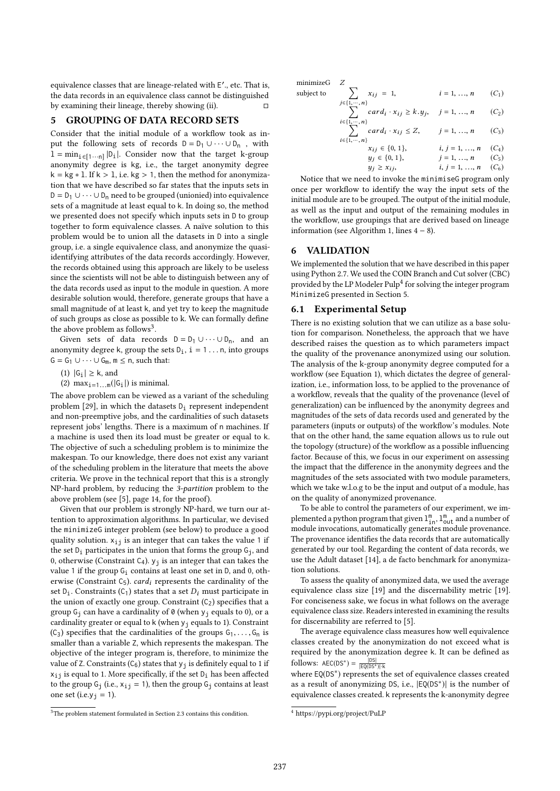equivalence classes that are lineage-related with E'., etc. That is, the data records in an equivalence class cannot be distinguished by examining their lineage, thereby showing (ii).

# 5 GROUPING OF DATA RECORD SETS

Consider that the initial module of a workflow took as input the following sets of records  $D = D_1 \cup \cdots \cup D_n$ , with  $1 = \min_{i \in [1 \cdots n]} |D_i|$ . Consider now that the target k-group anonymity degree is kg, i.e., the target anonymity degree  $k = kg * 1$ . If  $k > 1$ , i.e. kg > 1, then the method for anonymization that we have described so far states that the inputs sets in  $D = D_1 \cup \cdots \cup D_n$  need to be grouped (unionied) into equivalence sets of a magnitude at least equal to k. In doing so, the method we presented does not specify which inputs sets in D to group together to form equivalence classes. A naïve solution to this problem would be to union all the datasets in D into a single group, i.e. a single equivalence class, and anonymize the quasiidentifying attributes of the data records accordingly. However, the records obtained using this approach are likely to be useless since the scientists will not be able to distinguish between any of the data records used as input to the module in question. A more desirable solution would, therefore, generate groups that have a small magnitude of at least k, and yet try to keep the magnitude of such groups as close as possible to k. We can formally define the above problem as follows<sup>3</sup>.

Given sets of data records  $D = D_1 \cup \cdots \cup D_n$ , and an anonymity degree k, group the sets  $D_i$ ,  $i = 1 ... n$ , into groups  $G = G_1 \cup \cdots \cup G_m$ ,  $m \le n$ , such that:

(1)  $|G_i|$  ≥ k, and

(2)  $\max_{i=1...m}(|G_i|)$  is minimal.

The above problem can be viewed as a variant of the scheduling problem [29], in which the datasets  $D_i$  represent independent and non-preemptive jobs, and the cardinalities of such datasets represent jobs' lengths. There is a maximum of n machines. If a machine is used then its load must be greater or equal to k. The objective of such a scheduling problem is to minimize the makespan. To our knowledge, there does not exist any variant of the scheduling problem in the literature that meets the above criteria. We prove in the technical report that this is a strongly NP-hard problem, by reducing the 3-partition problem to the above problem (see [5], page 14, for the proof).

Given that our problem is strongly NP-hard, we turn our attention to approximation algorithms. In particular, we devised the minimizeG integer problem (see below) to produce a good quality solution.  $x_{i,j}$  is an integer that can takes the value 1 if the set  $D_i$  participates in the union that forms the group  $G_i$ , and 0, otherwise (Constraint C<sub>4</sub>).  $y_i$  is an integer that can takes the value 1 if the group  $G_i$  contains at least one set in D, and 0, otherwise (Constraint  $C_5$ ). *card<sub>i</sub>* represents the cardinality of the set  $D_i$ . Constraints (C<sub>1</sub>) states that a set  $D_i$  must participate in the union of exactly one group. Constraint  $(C_2)$  specifies that a group  $G_i$  can have a cardinality of 0 (when  $y_i$  equals to 0), or a cardinality greater or equal to k (when  $y_i$  equals to 1). Constraint  $(C_3)$  specifies that the cardinalities of the groups  $G_1, \ldots, G_n$  is smaller than a variable Z, which represents the makespan. The objective of the integer program is, therefore, to minimize the value of Z. Constraints  $(C_6)$  states that  $y_i$  is definitely equal to 1 if  $x_{i,j}$  is equal to 1. More specifically, if the set  $D_i$  has been affected to the group  $G_i$  (i.e.,  $x_{i,j} = 1$ ), then the group  $G_i$  contains at least one set (i.e.y<sub>j</sub> = 1).

minimizeG Z subject to

$$
i = 1, ..., n \qquad (C_1)
$$
  

$$
j \in \{1, ..., n\}
$$

$$
\sum_{i \in \{1, \dots, n\}} card_i \cdot x_{ij} \ge k \cdot y_j, \quad j = 1, \dots, n \qquad (C_2)
$$
\n
$$
\sum_{i \in \{1, \dots, n\}} card_i \cdot x_{ij} \le Z \qquad i = 1 \qquad n \qquad (C_2)
$$

$$
\sum_{\{1,\dots,n\}} card_i \cdot x_{ij} \le Z, \qquad j = 1, \dots, n \qquad (C_3)
$$
  
\n
$$
x_{ij} \in \{0, 1\}, \qquad i, j = 1, \dots, n \qquad (C_4)
$$
  
\n
$$
y_j \in \{0, 1\}, \qquad j = 1, \dots, n \qquad (C_5)
$$
  
\n
$$
y_j \ge x_{ij}, \qquad i, j = 1, \dots, n \qquad (C_6)
$$

Notice that we need to invoke the minimiseG program only once per workflow to identify the way the input sets of the initial module are to be grouped. The output of the initial module, as well as the input and output of the remaining modules in the workflow, use groupings that are derived based on lineage information (see Algorithm 1, lines  $4 - 8$ ).

#### 6 VALIDATION

 $i \in$ 

We implemented the solution that we have described in this paper using Python 2.7. We used the COIN Branch and Cut solver (CBC) provided by the LP Modeler Pulp<sup>4</sup> for solving the integer program MinimizeG presented in Section 5.

#### 6.1 Experimental Setup

There is no existing solution that we can utilize as a base solution for comparison. Nonetheless, the approach that we have described raises the question as to which parameters impact the quality of the provenance anonymized using our solution. The analysis of the k-group anonymity degree computed for a workflow (see Equation 1), which dictates the degree of generalization, i.e., information loss, to be applied to the provenance of a workflow, reveals that the quality of the provenance (level of generalization) can be influenced by the anonymity degrees and magnitudes of the sets of data records used and generated by the parameters (inputs or outputs) of the workflow's modules. Note that on the other hand, the same equation allows us to rule out the topology (structure) of the workflow as a possible influencing factor. Because of this, we focus in our experiment on assessing the impact that the difference in the anonymity degrees and the magnitudes of the sets associated with two module parameters, which we take w.l.o.g to be the input and output of a module, has on the quality of anonymized provenance.

To be able to control the parameters of our experiment, we implemented a python program that given  $1^{\text{m}}_{\text{in}}$ ,  $1^{\text{m}}_{\text{out}}$  and a number of module invocations, automatically generates module provenance. The provenance identifies the data records that are automatically generated by our tool. Regarding the content of data records, we use the Adult dataset [14], a de facto benchmark for anonymization solutions.

To assess the quality of anonymized data, we used the average equivalence class size [19] and the discernability metric [19]. For conciseness sake, we focus in what follows on the average equivalence class size. Readers interested in examining the results for discernability are referred to [5].

The average equivalence class measures how well equivalence classes created by the anonymization do not exceed what is required by the anonymization degree k. It can be defined as  $\text{follows: } \text{AEC}(DS^*) = \frac{|DS|}{|EQ(DS^*)| \cdot k}$ 

where EQ(DS<sup>\*</sup>) represents the set of equivalence classes created as a result of anonymizing DS, i.e., |EQ(DS<sup>∗</sup> )| is the number of equivalence classes created. k represents the k-anonymity degree

<sup>&</sup>lt;sup>3</sup>The problem statement formulated in Section 2.3 contains this condition.

<sup>4</sup> https://pypi.org/project/PuLP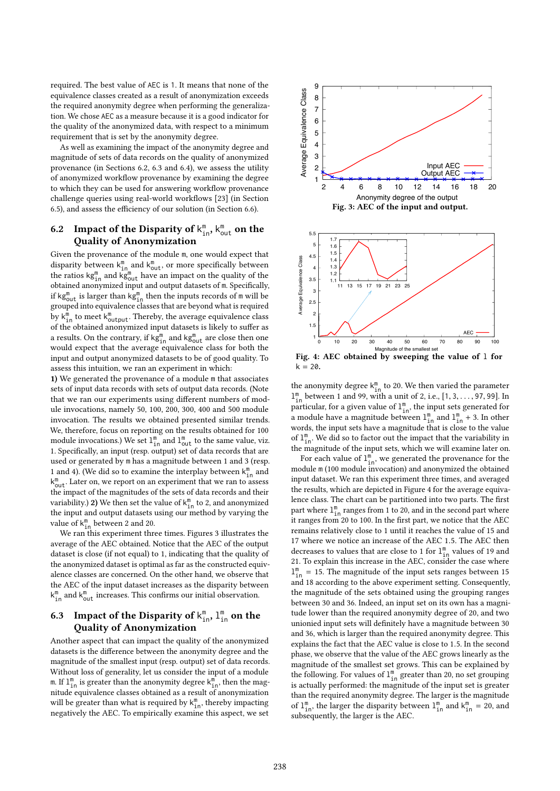required. The best value of AEC is 1. It means that none of the equivalence classes created as a result of anonymization exceeds the required anonymity degree when performing the generalization. We chose AEC as a measure because it is a good indicator for the quality of the anonymized data, with respect to a minimum requirement that is set by the anonymity degree.

As well as examining the impact of the anonymity degree and magnitude of sets of data records on the quality of anonymized provenance (in Sections 6.2, 6.3 and 6.4), we assess the utility of anonymized workflow provenance by examining the degree to which they can be used for answering workflow provenance challenge queries using real-world workflows [23] (in Section 6.5), and assess the efficiency of our solution (in Section 6.6).

# 6.2 Impact of the Disparity of  $k_{in}^m$ ,  $k_{out}^m$  on the Quality of Anonymization

Given the provenance of the module m, one would expect that disparity between  $k_{in}^m$  and  $k_{out}^m$ , or more specifically between the ratios  $kg_{in}^{m}$  and  $kg_{out}^{m}$  have an impact on the quality of the obtained anonymized input and output datasets of m. Specifically, if kg $_{\text{out}}^{\text{m}}$  is larger than kg $_{\text{in}}^{\text{m}}$  then the inputs records of  $\text{m}$  will be grouped into equivalence classes that are beyond what is required by  $k_{\text{in}}^{\text{m}}$  to meet  $k_{\text{output}}^{\text{m}}$ . Thereby, the average equivalence class of the obtained anonymized input datasets is likely to suffer as a results. On the contrary, if  $\mathsf{kg}^\mathsf{m}_{\mathsf{in}}$  and  $\mathsf{kg}^\mathsf{m}_{\mathsf{out}}$  are close then one would expect that the average equivalence class for both the input and output anonymized datasets to be of good quality. To assess this intuition, we ran an experiment in which:

1) We generated the provenance of a module m that associates sets of input data records with sets of output data records. (Note that we ran our experiments using different numbers of module invocations, namely 50, 100, 200, 300, 400 and 500 module invocation. The results we obtained presented similar trends. We, therefore, focus on reporting on the results obtained for 100 module invocations.) We set  $1^{\text{m}}_{\text{in}}$  and  $1^{\text{m}}_{\text{out}}$  to the same value, viz. 1. Specifically, an input (resp. output) set of data records that are used or generated by m has a magnitude between 1 and 3 (resp. 1 and 4). (We did so to examine the interplay between  $k_{in}^m$  and  $k_{\text{out}}^{\text{m}}$ . Later on, we report on an experiment that we ran to assess the impact of the magnitudes of the sets of data records and their variability.) 2) We then set the value of  $k_{in}^{\text{m}}$  to 2, and anonymized the input and output datasets using our method by varying the value of  $k_{in}^{m}$  between 2 and 20.

We ran this experiment three times. Figures 3 illustrates the average of the AEC obtained. Notice that the AEC of the output dataset is close (if not equal) to 1, indicating that the quality of the anonymized dataset is optimal as far as the constructed equivalence classes are concerned. On the other hand, we observe that the AEC of the input dataset increases as the disparity between  $k^{\text{m}}_{\text{int}}$  and  $k^{\text{m}}_{\text{out}}$  increases. This confirms our initial observation.

# 6.3 Impact of the Disparity of  $k_{in}^m$ ,  $l_{in}^m$  on the Quality of Anonymization

Another aspect that can impact the quality of the anonymized datasets is the difference between the anonymity degree and the magnitude of the smallest input (resp. output) set of data records. Without loss of generality, let us consider the input of a module m. If  $1^{\text{m}}_{\text{in}}$  is greater than the anonymity degree  $k^{\text{m}}_{\text{in}}$ , then the magnitude equivalence classes obtained as a result of anonymization will be greater than what is required by  $k_{in}^m$ , thereby impacting negatively the AEC. To empirically examine this aspect, we set



the anonymity degree  $k_{in}^{m}$  to 20. We then varied the parameter  $\mathbf{1}_{\text{in}}^{\text{m}}$  between 1 and 99, with a unit of 2, i.e., [1, 3, . . . , 97, 99]. In particular for a given value of  $\mathbf{1}^{\text{m}}$  the input sets generated for particular, for a given value of  $1^{\text{m}}_{\text{in}}$ , the input sets generated for a module have a magnitude between  $1^{\text{m}}_{\text{in}}$  and  $1^{\text{m}}_{\text{in}}$  + 3. In other words, the input sets have a magnitude that is close to the value of  $1^{\text{m}}_{\text{in}}$ . We did so to factor out the impact that the variability in the magnitude of the input sets, which we will examine later on.

For each value of  $1^{\text{m}}_{\text{in}}$ , we generated the provenance for the module m (100 module invocation) and anonymized the obtained input dataset. We ran this experiment three times, and averaged the results, which are depicted in Figure 4 for the average equivalence class. The chart can be partitioned into two parts. The first part where  $1^{\text{m}}_{\text{in}}$  ranges from 1 to 20, and in the second part where it ranges from 20 to 100. In the first part, we notice that the AEC remains relatively close to 1 until it reaches the value of 15 and <sup>17</sup> where we notice an increase of the AEC <sup>1</sup>.5. The AEC then decreases to values that are close to 1 for  $1^{\text{m}}_{1\text{n}}$  values of 19 and 21. To explain this increase in the AEC, consider the case where  $l_{\text{in}}^{\text{m}}$  = 15. The magnitude of the input sets ranges between 15 and 18 according to the above experiment setting. Consequently, the magnitude of the sets obtained using the grouping ranges between 30 and 36. Indeed, an input set on its own has a magnitude lower than the required anonymity degree of 20, and two unionied input sets will definitely have a magnitude between 30 and 36, which is larger than the required anonymity degree. This explains the fact that the AEC value is close to <sup>1</sup>.5. In the second phase, we observe that the value of the AEC grows linearly as the magnitude of the smallest set grows. This can be explained by the following. For values of  $1^{\text{m}}_{\text{in}}$  greater than 20, no set grouping is actually performed: the magnitude of the input set is greater than the required anonymity degree. The larger is the magnitude of  $\mathbb{1}_{\text{in}}^{\text{m}}$ , the larger the disparity between  $\mathbb{1}_{\text{in}}^{\text{m}}$  and  $k_{\text{in}}^{\text{m}} = 20$ , and subsequently, the larger is the AEC.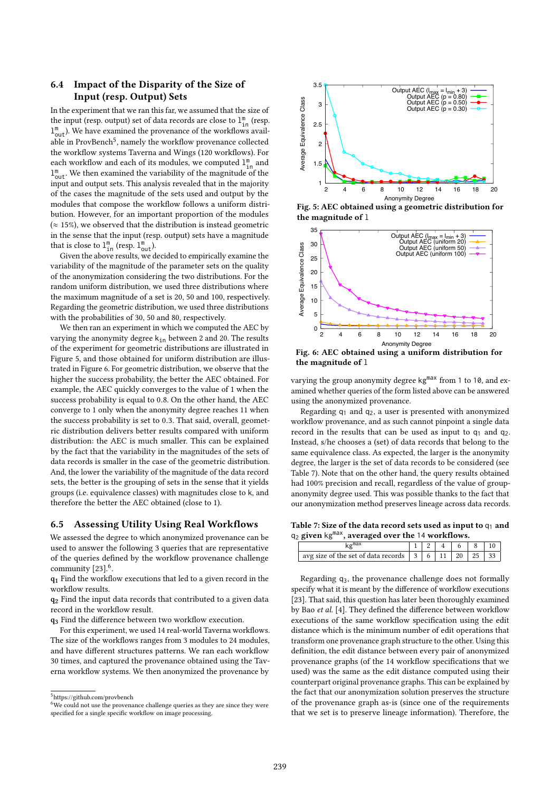# 6.4 Impact of the Disparity of the Size of Input (resp. Output) Sets

In the experiment that we ran this far, we assumed that the size of the input (resp. output) set of data records are close to  $1^{\text{m}}_{\text{in}}$  (resp.  $1^{\text{m}}_{\text{out}}$ ). We have examined the provenance of the workflows available in ProvBench<sup>5</sup>, namely the workflow provenance collected the workflow systems Taverna and Wings (120 workflows). For each workflow and each of its modules, we computed  $1^{\text{m}}_{\text{in}}$  and  $1^{\text{m}}_{\text{out}}$ . We then examined the variability of the magnitude of the input and output sets. This analysis revealed that in the majority of the cases the magnitude of the sets used and output by the modules that compose the workflow follows a uniform distribution. However, for an important proportion of the modules  $(z 15\%)$ , we observed that the distribution is instead geometric in the sense that the input (resp. output) sets have a magnitude that is close to  $1^{\text{m}}_{\text{in}}$  (resp.  $1^{\text{m}}_{\text{out}}$ ).

Given the above results, we decided to empirically examine the variability of the magnitude of the parameter sets on the quality of the anonymization considering the two distributions. For the random uniform distribution, we used three distributions where the maximum magnitude of a set is 20, 50 and 100, respectively. Regarding the geometric distribution, we used three distributions with the probabilities of 30, 50 and 80, respectively.

We then ran an experiment in which we computed the AEC by varying the anonymity degree  $k_{in}$  between 2 and 20. The results of the experiment for geometric distributions are illustrated in Figure 5, and those obtained for uniform distribution are illustrated in Figure 6. For geometric distribution, we observe that the higher the success probability, the better the AEC obtained. For example, the AEC quickly converges to the value of 1 when the success probability is equal to <sup>0</sup>.8. On the other hand, the AEC converge to 1 only when the anonymity degree reaches 11 when the success probability is set to <sup>0</sup>.3. That said, overall, geometric distribution delivers better results compared with uniform distribution: the AEC is much smaller. This can be explained by the fact that the variability in the magnitudes of the sets of data records is smaller in the case of the geometric distribution. And, the lower the variability of the magnitude of the data record sets, the better is the grouping of sets in the sense that it yields groups (i.e. equivalence classes) with magnitudes close to k, and therefore the better the AEC obtained (close to 1).

#### 6.5 Assessing Utility Using Real Workflows

We assessed the degree to which anonymized provenance can be used to answer the following 3 queries that are representative of the queries defined by the workflow provenance challenge community [23].<sup>6</sup>.

q<sup>1</sup> Find the workflow executions that led to a given record in the workflow results.

q<sup>2</sup> Find the input data records that contributed to a given data record in the workflow result.

q<sup>3</sup> Find the difference between two workflow execution.

For this experiment, we used 14 real-world Taverna workflows. The size of the workflows ranges from 3 modules to 24 modules, and have different structures patterns. We ran each workflow 30 times, and captured the provenance obtained using the Taverna workflow systems. We then anonymized the provenance by



Fig. 5: AEC obtained using a geometric distribution for the magnitude of l



Fig. 6: AEC obtained using a uniform distribution for the magnitude of l

varying the group anonymity degree kg<sup>max</sup> from 1 to 10, and examined whether queries of the form listed above can be answered using the anonymized provenance.

Regarding  $q_1$  and  $q_2$ , a user is presented with anonymized workflow provenance, and as such cannot pinpoint a single data record in the results that can be used as input to  $q_1$  and  $q_2$ . Instead, s/he chooses a (set) of data records that belong to the same equivalence class. As expected, the larger is the anonymity degree, the larger is the set of data records to be considered (see Table 7). Note that on the other hand, the query results obtained had 100% precision and recall, regardless of the value of groupanonymity degree used. This was possible thanks to the fact that our anonymization method preserves lineage across data records.

Table 7: Size of the data record sets used as input to  $q_1$  and  $q_2$  given kg<sup>max</sup>, averaged over the 14 workflows.

| avg size of the set of data records   3   6   1 |  | 20 l |  |
|-------------------------------------------------|--|------|--|

Regarding q3, the provenance challenge does not formally specify what it is meant by the difference of workflow executions [23]. That said, this question has later been thoroughly examined by Bao et al. [4]. They defined the difference between workflow executions of the same workflow specification using the edit distance which is the minimum number of edit operations that transform one provenance graph structure to the other. Using this definition, the edit distance between every pair of anonymized provenance graphs (of the 14 workflow specifications that we used) was the same as the edit distance computed using their counterpart original provenance graphs. This can be explained by the fact that our anonymization solution preserves the structure of the provenance graph as-is (since one of the requirements that we set is to preserve lineage information). Therefore, the

<sup>5</sup>https://github.com/provbench

<sup>&</sup>lt;sup>6</sup>We could not use the provenance challenge queries as they are since they were specified for a single specific workflow on image processing.